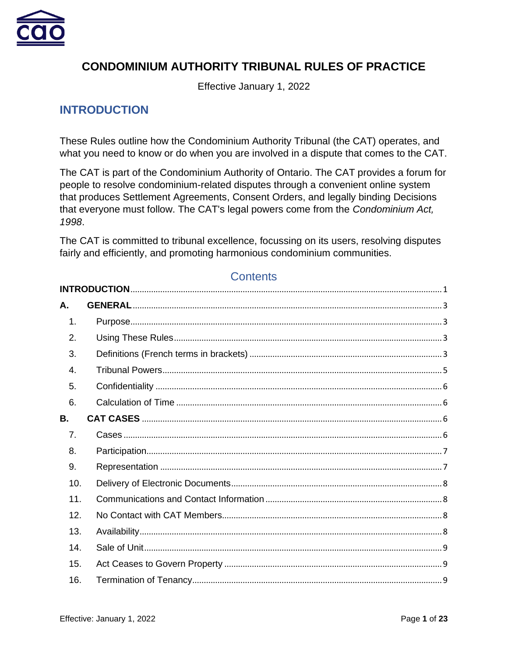

# **CONDOMINIUM AUTHORITY TRIBUNAL RULES OF PRACTICE**

Effective January 1, 2022

# <span id="page-0-0"></span>**INTRODUCTION**

These Rules outline how the Condominium Authority Tribunal (the CAT) operates, and what you need to know or do when you are involved in a dispute that comes to the CAT.

The CAT is part of the Condominium Authority of Ontario. The CAT provides a forum for people to resolve condominium-related disputes through a convenient online system that produces Settlement Agreements, Consent Orders, and legally binding Decisions that everyone must follow. The CAT's legal powers come from the *Condominium Act, 1998*.

The CAT is committed to tribunal excellence, focussing on its users, resolving disputes fairly and efficiently, and promoting harmonious condominium communities.

## **Contents**

| А.  |  |  |  |
|-----|--|--|--|
| 1.  |  |  |  |
| 2.  |  |  |  |
| 3.  |  |  |  |
| 4.  |  |  |  |
| 5.  |  |  |  |
| 6.  |  |  |  |
| В.  |  |  |  |
| 7.  |  |  |  |
| 8.  |  |  |  |
| 9.  |  |  |  |
| 10. |  |  |  |
| 11. |  |  |  |
| 12. |  |  |  |
| 13. |  |  |  |
| 14. |  |  |  |
| 15. |  |  |  |
| 16. |  |  |  |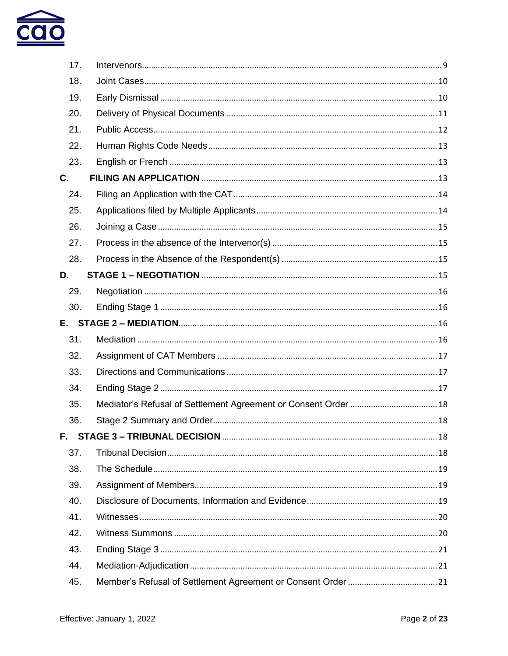

| 17. |  |
|-----|--|
| 18. |  |
| 19. |  |
| 20. |  |
| 21. |  |
| 22. |  |
| 23. |  |
| C.  |  |
| 24. |  |
| 25. |  |
| 26. |  |
| 27. |  |
| 28. |  |
| D.  |  |
| 29. |  |
| 30. |  |
|     |  |
| 31. |  |
| 32. |  |
| 33. |  |
| 34. |  |
| 35. |  |
| 36. |  |
| F.  |  |
| 37. |  |
| 38. |  |
| 39. |  |
| 40. |  |
| 41. |  |
| 42. |  |
| 43. |  |
| 44. |  |
| 45. |  |
|     |  |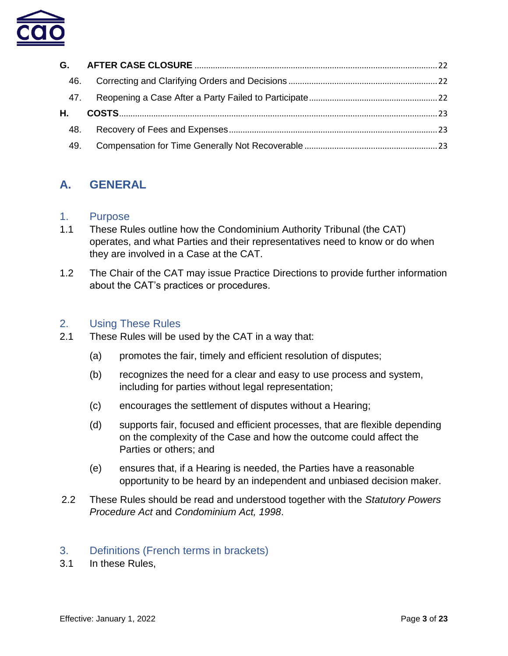

| 46. |  |
|-----|--|
|     |  |
|     |  |
| 48. |  |
| 49. |  |

# <span id="page-2-0"></span>**A. GENERAL**

#### <span id="page-2-1"></span>1. Purpose

- 1.1 These Rules outline how the Condominium Authority Tribunal (the CAT) operates, and what Parties and their representatives need to know or do when they are involved in a Case at the CAT.
- 1.2 The Chair of the CAT may issue Practice Directions to provide further information about the CAT's practices or procedures.

### <span id="page-2-2"></span>2. Using These Rules

- 2.1 These Rules will be used by the CAT in a way that:
	- (a) promotes the fair, timely and efficient resolution of disputes;
	- (b) recognizes the need for a clear and easy to use process and system, including for parties without legal representation;
	- (c) encourages the settlement of disputes without a Hearing;
	- (d) supports fair, focused and efficient processes, that are flexible depending on the complexity of the Case and how the outcome could affect the Parties or others; and
	- (e) ensures that, if a Hearing is needed, the Parties have a reasonable opportunity to be heard by an independent and unbiased decision maker.
- 2.2 These Rules should be read and understood together with the *Statutory Powers Procedure Act* and *Condominium Act, 1998*.

### <span id="page-2-3"></span>3. Definitions (French terms in brackets)

3.1 In these Rules,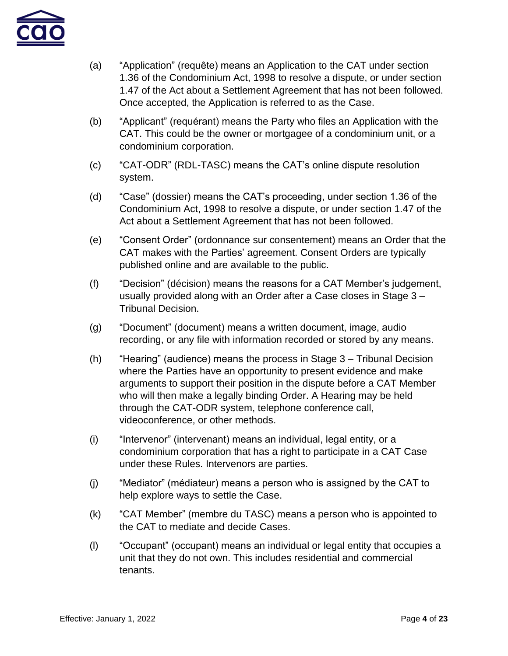

- (a) "Application" (requête) means an Application to the CAT under section 1.36 of the Condominium Act, 1998 to resolve a dispute, or under section 1.47 of the Act about a Settlement Agreement that has not been followed. Once accepted, the Application is referred to as the Case.
- (b) "Applicant" (requérant) means the Party who files an Application with the CAT. This could be the owner or mortgagee of a condominium unit, or a condominium corporation.
- (c) "CAT-ODR" (RDL-TASC) means the CAT's online dispute resolution system.
- (d) "Case" (dossier) means the CAT's proceeding, under section 1.36 of the Condominium Act, 1998 to resolve a dispute, or under section 1.47 of the Act about a Settlement Agreement that has not been followed.
- (e) "Consent Order" (ordonnance sur consentement) means an Order that the CAT makes with the Parties' agreement. Consent Orders are typically published online and are available to the public.
- (f) "Decision" (décision) means the reasons for a CAT Member's judgement, usually provided along with an Order after a Case closes in Stage 3 – Tribunal Decision.
- (g) "Document" (document) means a written document, image, audio recording, or any file with information recorded or stored by any means.
- (h) "Hearing" (audience) means the process in Stage 3 Tribunal Decision where the Parties have an opportunity to present evidence and make arguments to support their position in the dispute before a CAT Member who will then make a legally binding Order. A Hearing may be held through the CAT-ODR system, telephone conference call, videoconference, or other methods.
- (i) "Intervenor" (intervenant) means an individual, legal entity, or a condominium corporation that has a right to participate in a CAT Case under these Rules. Intervenors are parties.
- (j) "Mediator" (médiateur) means a person who is assigned by the CAT to help explore ways to settle the Case.
- (k) "CAT Member" (membre du TASC) means a person who is appointed to the CAT to mediate and decide Cases.
- (l) "Occupant" (occupant) means an individual or legal entity that occupies a unit that they do not own. This includes residential and commercial tenants.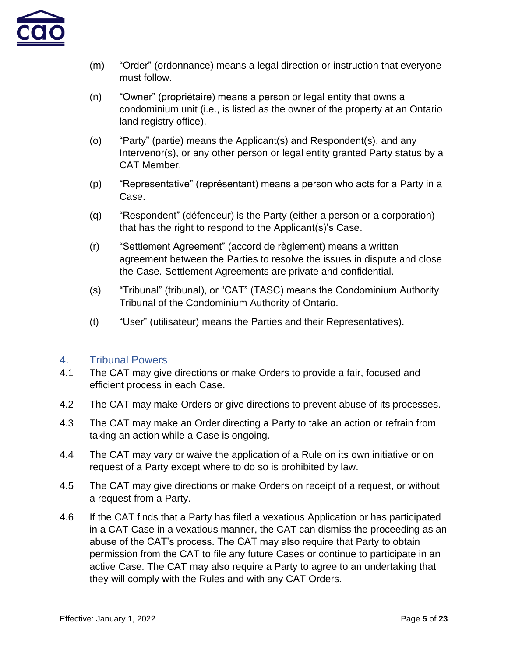

- (m) "Order" (ordonnance) means a legal direction or instruction that everyone must follow.
- (n) "Owner" (propriétaire) means a person or legal entity that owns a condominium unit (i.e., is listed as the owner of the property at an Ontario land registry office).
- (o) "Party" (partie) means the Applicant(s) and Respondent(s), and any Intervenor(s), or any other person or legal entity granted Party status by a CAT Member.
- (p) "Representative" (représentant) means a person who acts for a Party in a Case.
- (q) "Respondent" (défendeur) is the Party (either a person or a corporation) that has the right to respond to the Applicant(s)'s Case.
- (r) "Settlement Agreement" (accord de règlement) means a written agreement between the Parties to resolve the issues in dispute and close the Case. Settlement Agreements are private and confidential.
- (s) "Tribunal" (tribunal), or "CAT" (TASC) means the Condominium Authority Tribunal of the Condominium Authority of Ontario.
- (t) "User" (utilisateur) means the Parties and their Representatives).

## <span id="page-4-0"></span>4. Tribunal Powers

- 4.1 The CAT may give directions or make Orders to provide a fair, focused and efficient process in each Case.
- 4.2 The CAT may make Orders or give directions to prevent abuse of its processes.
- 4.3 The CAT may make an Order directing a Party to take an action or refrain from taking an action while a Case is ongoing.
- 4.4 The CAT may vary or waive the application of a Rule on its own initiative or on request of a Party except where to do so is prohibited by law.
- 4.5 The CAT may give directions or make Orders on receipt of a request, or without a request from a Party.
- 4.6 If the CAT finds that a Party has filed a vexatious Application or has participated in a CAT Case in a vexatious manner, the CAT can dismiss the proceeding as an abuse of the CAT's process. The CAT may also require that Party to obtain permission from the CAT to file any future Cases or continue to participate in an active Case. The CAT may also require a Party to agree to an undertaking that they will comply with the Rules and with any CAT Orders.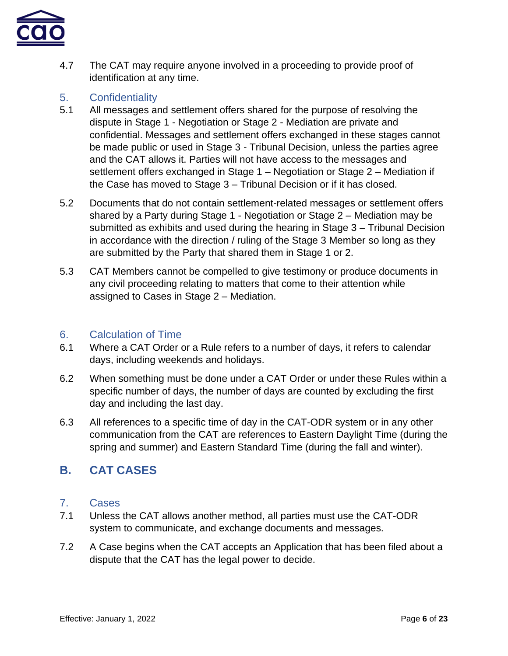

4.7 The CAT may require anyone involved in a proceeding to provide proof of identification at any time.

## <span id="page-5-0"></span>5. Confidentiality

- 5.1 All messages and settlement offers shared for the purpose of resolving the dispute in Stage 1 - Negotiation or Stage 2 - Mediation are private and confidential. Messages and settlement offers exchanged in these stages cannot be made public or used in Stage 3 - Tribunal Decision, unless the parties agree and the CAT allows it. Parties will not have access to the messages and settlement offers exchanged in Stage 1 – Negotiation or Stage 2 – Mediation if the Case has moved to Stage 3 – Tribunal Decision or if it has closed.
- 5.2 Documents that do not contain settlement-related messages or settlement offers shared by a Party during Stage 1 - Negotiation or Stage 2 – Mediation may be submitted as exhibits and used during the hearing in Stage 3 – Tribunal Decision in accordance with the direction / ruling of the Stage 3 Member so long as they are submitted by the Party that shared them in Stage 1 or 2.
- 5.3 CAT Members cannot be compelled to give testimony or produce documents in any civil proceeding relating to matters that come to their attention while assigned to Cases in Stage 2 – Mediation.

## <span id="page-5-1"></span>6. Calculation of Time

- 6.1 Where a CAT Order or a Rule refers to a number of days, it refers to calendar days, including weekends and holidays.
- 6.2 When something must be done under a CAT Order or under these Rules within a specific number of days, the number of days are counted by excluding the first day and including the last day.
- 6.3 All references to a specific time of day in the CAT-ODR system or in any other communication from the CAT are references to Eastern Daylight Time (during the spring and summer) and Eastern Standard Time (during the fall and winter).

# <span id="page-5-2"></span>**B. CAT CASES**

## <span id="page-5-3"></span>7. Cases

- 7.1 Unless the CAT allows another method, all parties must use the CAT-ODR system to communicate, and exchange documents and messages.
- 7.2 A Case begins when the CAT accepts an Application that has been filed about a dispute that the CAT has the legal power to decide.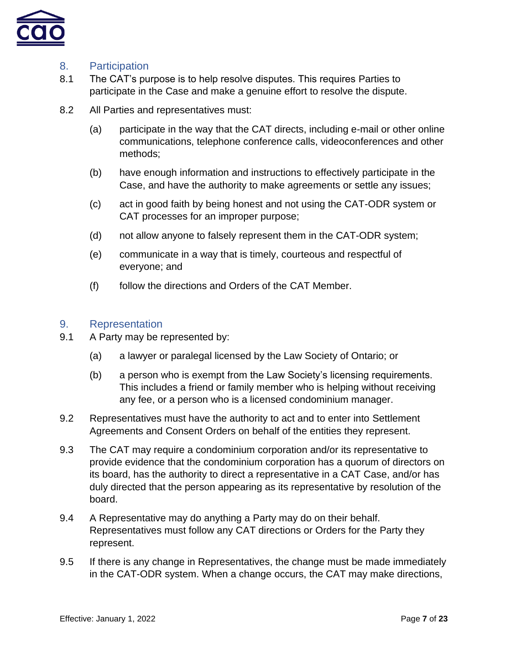

## <span id="page-6-0"></span>8. Participation

- 8.1 The CAT's purpose is to help resolve disputes. This requires Parties to participate in the Case and make a genuine effort to resolve the dispute.
- 8.2 All Parties and representatives must:
	- (a) participate in the way that the CAT directs, including e-mail or other online communications, telephone conference calls, videoconferences and other methods;
	- (b) have enough information and instructions to effectively participate in the Case, and have the authority to make agreements or settle any issues;
	- (c) act in good faith by being honest and not using the CAT-ODR system or CAT processes for an improper purpose;
	- (d) not allow anyone to falsely represent them in the CAT-ODR system;
	- (e) communicate in a way that is timely, courteous and respectful of everyone; and
	- (f) follow the directions and Orders of the CAT Member.

#### <span id="page-6-1"></span>9. Representation

- 9.1 A Party may be represented by:
	- (a) a lawyer or paralegal licensed by the Law Society of Ontario; or
	- (b) a person who is exempt from the Law Society's licensing requirements. This includes a friend or family member who is helping without receiving any fee, or a person who is a licensed condominium manager.
- 9.2 Representatives must have the authority to act and to enter into Settlement Agreements and Consent Orders on behalf of the entities they represent.
- 9.3 The CAT may require a condominium corporation and/or its representative to provide evidence that the condominium corporation has a quorum of directors on its board, has the authority to direct a representative in a CAT Case, and/or has duly directed that the person appearing as its representative by resolution of the board.
- 9.4 A Representative may do anything a Party may do on their behalf. Representatives must follow any CAT directions or Orders for the Party they represent.
- 9.5 If there is any change in Representatives, the change must be made immediately in the CAT-ODR system. When a change occurs, the CAT may make directions,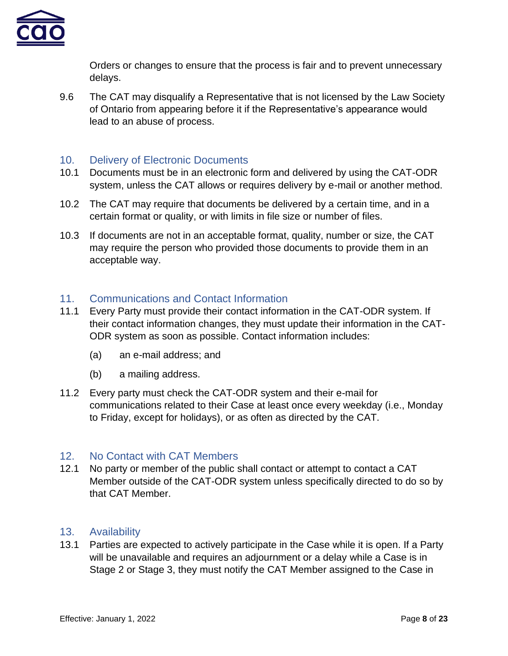

Orders or changes to ensure that the process is fair and to prevent unnecessary delays.

9.6 The CAT may disqualify a Representative that is not licensed by the Law Society of Ontario from appearing before it if the Representative's appearance would lead to an abuse of process.

## <span id="page-7-0"></span>10. Delivery of Electronic Documents

- 10.1 Documents must be in an electronic form and delivered by using the CAT-ODR system, unless the CAT allows or requires delivery by e-mail or another method.
- 10.2 The CAT may require that documents be delivered by a certain time, and in a certain format or quality, or with limits in file size or number of files.
- 10.3 If documents are not in an acceptable format, quality, number or size, the CAT may require the person who provided those documents to provide them in an acceptable way.

## <span id="page-7-1"></span>11. Communications and Contact Information

- 11.1 Every Party must provide their contact information in the CAT-ODR system. If their contact information changes, they must update their information in the CAT-ODR system as soon as possible. Contact information includes:
	- (a) an e-mail address; and
	- (b) a mailing address.
- 11.2 Every party must check the CAT-ODR system and their e-mail for communications related to their Case at least once every weekday (i.e., Monday to Friday, except for holidays), or as often as directed by the CAT.

## <span id="page-7-2"></span>12. No Contact with CAT Members

12.1 No party or member of the public shall contact or attempt to contact a CAT Member outside of the CAT-ODR system unless specifically directed to do so by that CAT Member.

## <span id="page-7-3"></span>13. Availability

13.1 Parties are expected to actively participate in the Case while it is open. If a Party will be unavailable and requires an adjournment or a delay while a Case is in Stage 2 or Stage 3, they must notify the CAT Member assigned to the Case in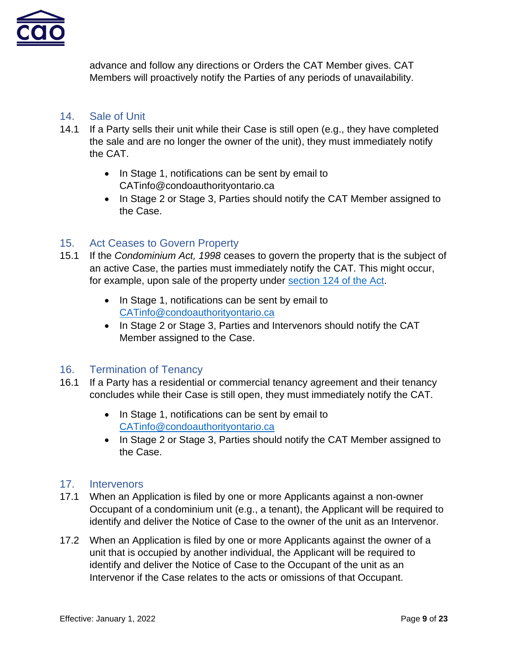

advance and follow any directions or Orders the CAT Member gives. CAT Members will proactively notify the Parties of any periods of unavailability.

## <span id="page-8-0"></span>14. Sale of Unit

- 14.1 If a Party sells their unit while their Case is still open (e.g., they have completed the sale and are no longer the owner of the unit), they must immediately notify the CAT.
	- In Stage 1, notifications can be sent by email to CATinfo@condoauthorityontario.ca
	- In Stage 2 or Stage 3, Parties should notify the CAT Member assigned to the Case.

## <span id="page-8-1"></span>15. Act Ceases to Govern Property

- 15.1 If the *Condominium Act, 1998* ceases to govern the property that is the subject of an active Case, the parties must immediately notify the CAT. This might occur, for example, upon sale of the property under [section 124 of the Act.](https://www.ontario.ca/laws/statute/98c19#BK247)
	- In Stage 1, notifications can be sent by email to [CATinfo@condoauthorityontario.ca](mailto:CATinfo@condoauthorityontario.ca)
	- In Stage 2 or Stage 3, Parties and Intervenors should notify the CAT Member assigned to the Case.

## <span id="page-8-2"></span>16. Termination of Tenancy

- 16.1 If a Party has a residential or commercial tenancy agreement and their tenancy concludes while their Case is still open, they must immediately notify the CAT.
	- In Stage 1, notifications can be sent by email to [CATinfo@condoauthorityontario.ca](mailto:CATinfo@condoauthorityontario.ca)
	- In Stage 2 or Stage 3, Parties should notify the CAT Member assigned to the Case.

### <span id="page-8-3"></span>17. Intervenors

- 17.1 When an Application is filed by one or more Applicants against a non-owner Occupant of a condominium unit (e.g., a tenant), the Applicant will be required to identify and deliver the Notice of Case to the owner of the unit as an Intervenor.
- 17.2 When an Application is filed by one or more Applicants against the owner of a unit that is occupied by another individual, the Applicant will be required to identify and deliver the Notice of Case to the Occupant of the unit as an Intervenor if the Case relates to the acts or omissions of that Occupant.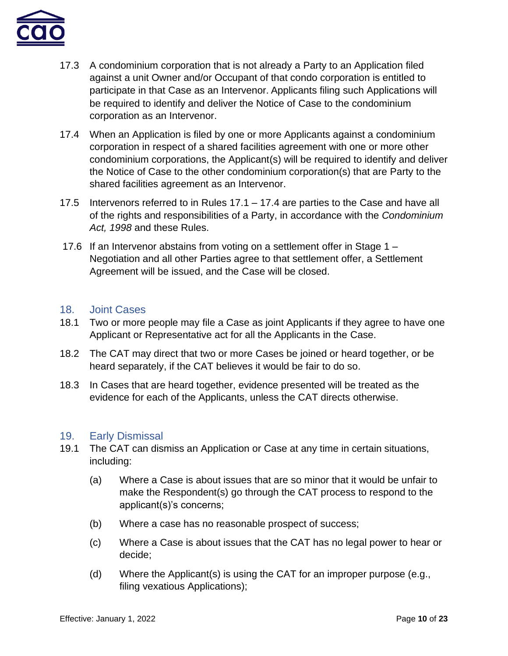

- 17.3 A condominium corporation that is not already a Party to an Application filed against a unit Owner and/or Occupant of that condo corporation is entitled to participate in that Case as an Intervenor. Applicants filing such Applications will be required to identify and deliver the Notice of Case to the condominium corporation as an Intervenor.
- 17.4 When an Application is filed by one or more Applicants against a condominium corporation in respect of a shared facilities agreement with one or more other condominium corporations, the Applicant(s) will be required to identify and deliver the Notice of Case to the other condominium corporation(s) that are Party to the shared facilities agreement as an Intervenor.
- 17.5 Intervenors referred to in Rules 17.1 17.4 are parties to the Case and have all of the rights and responsibilities of a Party, in accordance with the *Condominium Act, 1998* and these Rules.
- 17.6 If an Intervenor abstains from voting on a settlement offer in Stage 1 Negotiation and all other Parties agree to that settlement offer, a Settlement Agreement will be issued, and the Case will be closed.

### <span id="page-9-0"></span>18. Joint Cases

- 18.1 Two or more people may file a Case as joint Applicants if they agree to have one Applicant or Representative act for all the Applicants in the Case.
- 18.2 The CAT may direct that two or more Cases be joined or heard together, or be heard separately, if the CAT believes it would be fair to do so.
- 18.3 In Cases that are heard together, evidence presented will be treated as the evidence for each of the Applicants, unless the CAT directs otherwise.

### <span id="page-9-1"></span>19. Early Dismissal

- 19.1 The CAT can dismiss an Application or Case at any time in certain situations, including:
	- (a) Where a Case is about issues that are so minor that it would be unfair to make the Respondent(s) go through the CAT process to respond to the applicant(s)'s concerns;
	- (b) Where a case has no reasonable prospect of success;
	- (c) Where a Case is about issues that the CAT has no legal power to hear or decide;
	- (d) Where the Applicant(s) is using the CAT for an improper purpose (e.g., filing vexatious Applications);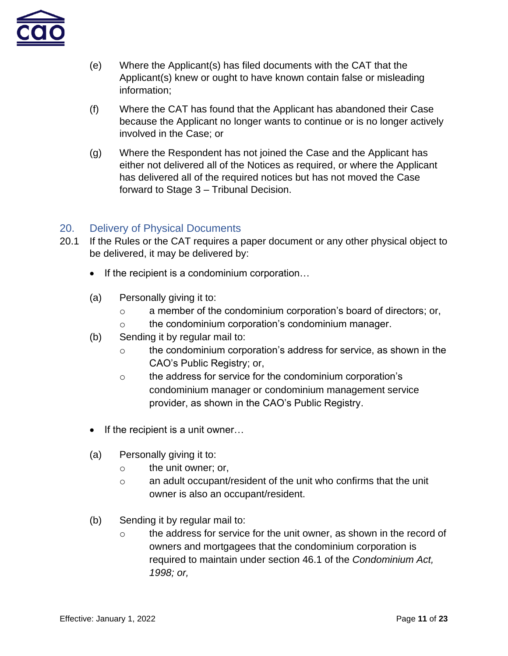

- (e) Where the Applicant(s) has filed documents with the CAT that the Applicant(s) knew or ought to have known contain false or misleading information;
- (f) Where the CAT has found that the Applicant has abandoned their Case because the Applicant no longer wants to continue or is no longer actively involved in the Case; or
- (g) Where the Respondent has not joined the Case and the Applicant has either not delivered all of the Notices as required, or where the Applicant has delivered all of the required notices but has not moved the Case forward to Stage 3 – Tribunal Decision.

## <span id="page-10-0"></span>20. Delivery of Physical Documents

- 20.1 If the Rules or the CAT requires a paper document or any other physical object to be delivered, it may be delivered by:
	- If the recipient is a condominium corporation...
	- (a) Personally giving it to:
		- $\circ$  a member of the condominium corporation's board of directors; or,
		- o the condominium corporation's condominium manager.
	- (b) Sending it by regular mail to:
		- o the condominium corporation's address for service, as shown in the CAO's Public Registry; or,
		- o the address for service for the condominium corporation's condominium manager or condominium management service provider, as shown in the CAO's Public Registry.
	- If the recipient is a unit owner...
	- (a) Personally giving it to:
		- o the unit owner; or,
		- o an adult occupant/resident of the unit who confirms that the unit owner is also an occupant/resident.
	- (b) Sending it by regular mail to:
		- $\circ$  the address for service for the unit owner, as shown in the record of owners and mortgagees that the condominium corporation is required to maintain under section 46.1 of the *Condominium Act, 1998; or,*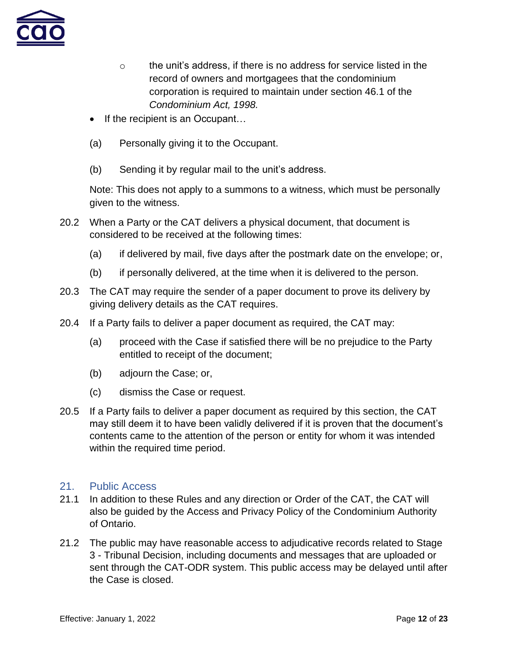

- $\circ$  the unit's address, if there is no address for service listed in the record of owners and mortgagees that the condominium corporation is required to maintain under section 46.1 of the *Condominium Act, 1998.*
- If the recipient is an Occupant...
- (a) Personally giving it to the Occupant.
- (b) Sending it by regular mail to the unit's address.

Note: This does not apply to a summons to a witness, which must be personally given to the witness.

- 20.2 When a Party or the CAT delivers a physical document, that document is considered to be received at the following times:
	- (a) if delivered by mail, five days after the postmark date on the envelope; or,
	- (b) if personally delivered, at the time when it is delivered to the person.
- 20.3 The CAT may require the sender of a paper document to prove its delivery by giving delivery details as the CAT requires.
- 20.4 If a Party fails to deliver a paper document as required, the CAT may:
	- (a) proceed with the Case if satisfied there will be no prejudice to the Party entitled to receipt of the document;
	- (b) adjourn the Case; or,
	- (c) dismiss the Case or request.
- 20.5 If a Party fails to deliver a paper document as required by this section, the CAT may still deem it to have been validly delivered if it is proven that the document's contents came to the attention of the person or entity for whom it was intended within the required time period.

### <span id="page-11-0"></span>21. Public Access

- 21.1 In addition to these Rules and any direction or Order of the CAT, the CAT will also be guided by the Access and Privacy Policy of the Condominium Authority of Ontario.
- 21.2 The public may have reasonable access to adjudicative records related to Stage 3 - Tribunal Decision, including documents and messages that are uploaded or sent through the CAT-ODR system. This public access may be delayed until after the Case is closed.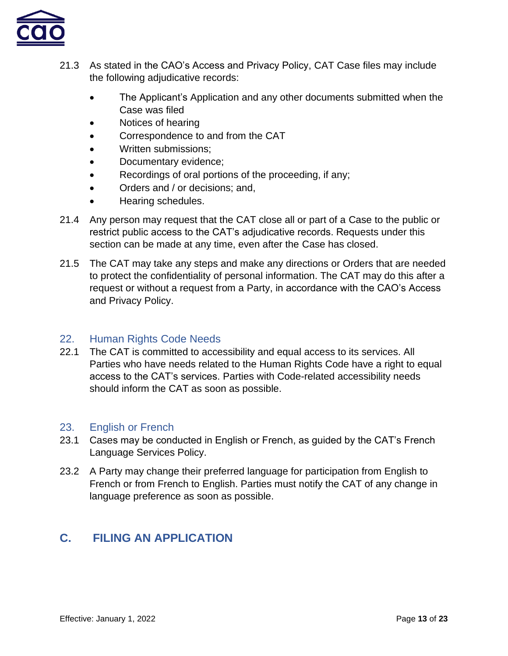

- 21.3 As stated in the CAO's Access and Privacy Policy, CAT Case files may include the following adjudicative records:
	- The Applicant's Application and any other documents submitted when the Case was filed
	- Notices of hearing
	- Correspondence to and from the CAT
	- Written submissions:
	- Documentary evidence;
	- Recordings of oral portions of the proceeding, if any;
	- Orders and / or decisions: and,
	- Hearing schedules.
- 21.4 Any person may request that the CAT close all or part of a Case to the public or restrict public access to the CAT's adjudicative records. Requests under this section can be made at any time, even after the Case has closed.
- 21.5 The CAT may take any steps and make any directions or Orders that are needed to protect the confidentiality of personal information. The CAT may do this after a request or without a request from a Party, in accordance with the CAO's Access and Privacy Policy.

## <span id="page-12-0"></span>22. Human Rights Code Needs

22.1 The CAT is committed to accessibility and equal access to its services. All Parties who have needs related to the Human Rights Code have a right to equal access to the CAT's services. Parties with Code-related accessibility needs should inform the CAT as soon as possible.

### <span id="page-12-1"></span>23. English or French

- 23.1 Cases may be conducted in English or French, as guided by the CAT's French Language Services Policy.
- 23.2 A Party may change their preferred language for participation from English to French or from French to English. Parties must notify the CAT of any change in language preference as soon as possible.

# <span id="page-12-2"></span>**C. FILING AN APPLICATION**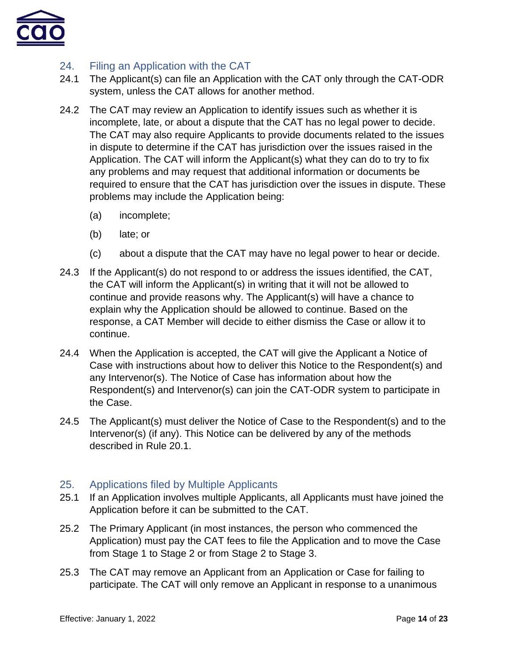

## <span id="page-13-0"></span>24. Filing an Application with the CAT

- 24.1 The Applicant(s) can file an Application with the CAT only through the CAT-ODR system, unless the CAT allows for another method.
- 24.2 The CAT may review an Application to identify issues such as whether it is incomplete, late, or about a dispute that the CAT has no legal power to decide. The CAT may also require Applicants to provide documents related to the issues in dispute to determine if the CAT has jurisdiction over the issues raised in the Application. The CAT will inform the Applicant(s) what they can do to try to fix any problems and may request that additional information or documents be required to ensure that the CAT has jurisdiction over the issues in dispute. These problems may include the Application being:
	- (a) incomplete;
	- (b) late; or
	- (c) about a dispute that the CAT may have no legal power to hear or decide.
- 24.3 If the Applicant(s) do not respond to or address the issues identified, the CAT, the CAT will inform the Applicant(s) in writing that it will not be allowed to continue and provide reasons why. The Applicant(s) will have a chance to explain why the Application should be allowed to continue. Based on the response, a CAT Member will decide to either dismiss the Case or allow it to continue.
- 24.4 When the Application is accepted, the CAT will give the Applicant a Notice of Case with instructions about how to deliver this Notice to the Respondent(s) and any Intervenor(s). The Notice of Case has information about how the Respondent(s) and Intervenor(s) can join the CAT-ODR system to participate in the Case.
- 24.5 The Applicant(s) must deliver the Notice of Case to the Respondent(s) and to the Intervenor(s) (if any). This Notice can be delivered by any of the methods described in Rule 20.1.

## <span id="page-13-1"></span>25. Applications filed by Multiple Applicants

- 25.1 If an Application involves multiple Applicants, all Applicants must have joined the Application before it can be submitted to the CAT.
- 25.2 The Primary Applicant (in most instances, the person who commenced the Application) must pay the CAT fees to file the Application and to move the Case from Stage 1 to Stage 2 or from Stage 2 to Stage 3.
- 25.3 The CAT may remove an Applicant from an Application or Case for failing to participate. The CAT will only remove an Applicant in response to a unanimous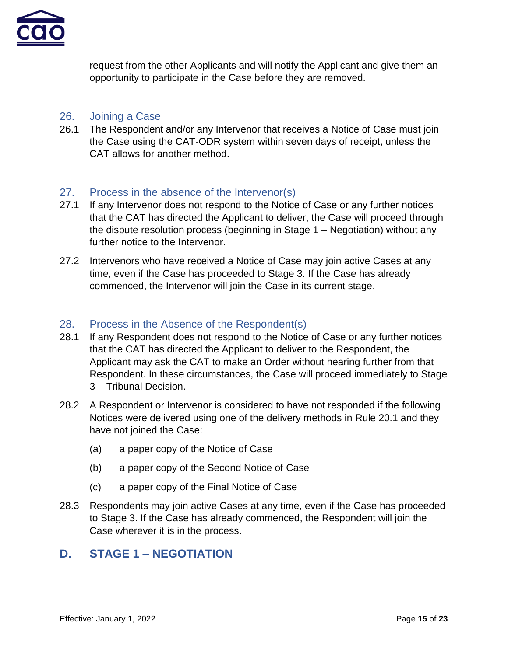

request from the other Applicants and will notify the Applicant and give them an opportunity to participate in the Case before they are removed.

### <span id="page-14-0"></span>26. Joining a Case

26.1 The Respondent and/or any Intervenor that receives a Notice of Case must join the Case using the CAT-ODR system within seven days of receipt, unless the CAT allows for another method.

## <span id="page-14-1"></span>27. Process in the absence of the Intervenor(s)

- 27.1 If any Intervenor does not respond to the Notice of Case or any further notices that the CAT has directed the Applicant to deliver, the Case will proceed through the dispute resolution process (beginning in Stage 1 – Negotiation) without any further notice to the Intervenor.
- 27.2 Intervenors who have received a Notice of Case may join active Cases at any time, even if the Case has proceeded to Stage 3. If the Case has already commenced, the Intervenor will join the Case in its current stage.

## <span id="page-14-2"></span>28. Process in the Absence of the Respondent(s)

- 28.1 If any Respondent does not respond to the Notice of Case or any further notices that the CAT has directed the Applicant to deliver to the Respondent, the Applicant may ask the CAT to make an Order without hearing further from that Respondent. In these circumstances, the Case will proceed immediately to Stage 3 – Tribunal Decision.
- 28.2 A Respondent or Intervenor is considered to have not responded if the following Notices were delivered using one of the delivery methods in Rule 20.1 and they have not joined the Case:
	- (a) a paper copy of the Notice of Case
	- (b) a paper copy of the Second Notice of Case
	- (c) a paper copy of the Final Notice of Case
- 28.3 Respondents may join active Cases at any time, even if the Case has proceeded to Stage 3. If the Case has already commenced, the Respondent will join the Case wherever it is in the process.

## <span id="page-14-3"></span>**D. STAGE 1 – NEGOTIATION**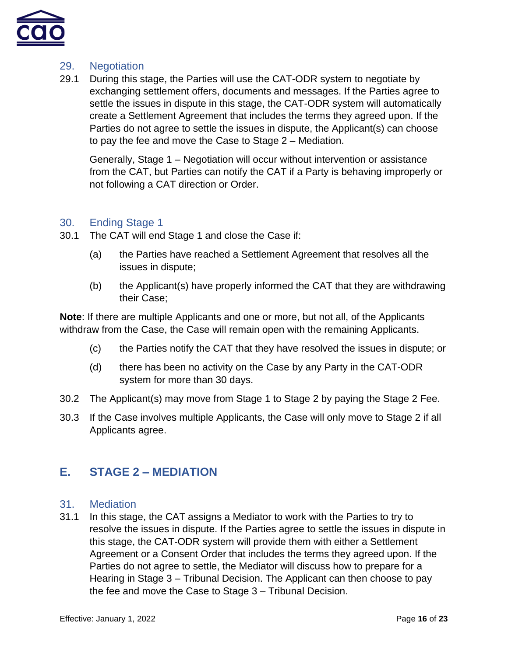

### <span id="page-15-0"></span>29. Negotiation

29.1 During this stage, the Parties will use the CAT-ODR system to negotiate by exchanging settlement offers, documents and messages. If the Parties agree to settle the issues in dispute in this stage, the CAT-ODR system will automatically create a Settlement Agreement that includes the terms they agreed upon. If the Parties do not agree to settle the issues in dispute, the Applicant(s) can choose to pay the fee and move the Case to Stage 2 – Mediation.

Generally, Stage 1 – Negotiation will occur without intervention or assistance from the CAT, but Parties can notify the CAT if a Party is behaving improperly or not following a CAT direction or Order.

## <span id="page-15-1"></span>30. Ending Stage 1

- 30.1 The CAT will end Stage 1 and close the Case if:
	- (a) the Parties have reached a Settlement Agreement that resolves all the issues in dispute;
	- (b) the Applicant(s) have properly informed the CAT that they are withdrawing their Case;

**Note**: If there are multiple Applicants and one or more, but not all, of the Applicants withdraw from the Case, the Case will remain open with the remaining Applicants.

- (c) the Parties notify the CAT that they have resolved the issues in dispute; or
- (d) there has been no activity on the Case by any Party in the CAT-ODR system for more than 30 days.
- 30.2 The Applicant(s) may move from Stage 1 to Stage 2 by paying the Stage 2 Fee.
- 30.3 If the Case involves multiple Applicants, the Case will only move to Stage 2 if all Applicants agree.

# <span id="page-15-2"></span>**E. STAGE 2 – MEDIATION**

### <span id="page-15-3"></span>31. Mediation

31.1 In this stage, the CAT assigns a Mediator to work with the Parties to try to resolve the issues in dispute. If the Parties agree to settle the issues in dispute in this stage, the CAT-ODR system will provide them with either a Settlement Agreement or a Consent Order that includes the terms they agreed upon. If the Parties do not agree to settle, the Mediator will discuss how to prepare for a Hearing in Stage 3 – Tribunal Decision. The Applicant can then choose to pay the fee and move the Case to Stage 3 – Tribunal Decision.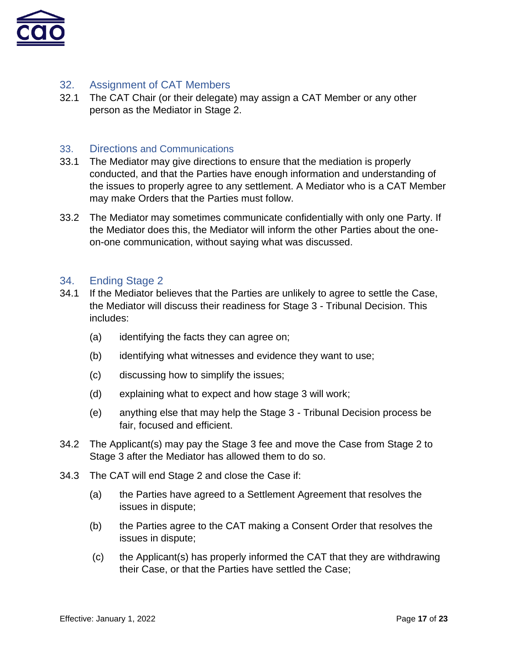

## <span id="page-16-0"></span>32. Assignment of CAT Members

32.1 The CAT Chair (or their delegate) may assign a CAT Member or any other person as the Mediator in Stage 2.

### <span id="page-16-1"></span>33. Directions and Communications

- 33.1 The Mediator may give directions to ensure that the mediation is properly conducted, and that the Parties have enough information and understanding of the issues to properly agree to any settlement. A Mediator who is a CAT Member may make Orders that the Parties must follow.
- 33.2 The Mediator may sometimes communicate confidentially with only one Party. If the Mediator does this, the Mediator will inform the other Parties about the oneon-one communication, without saying what was discussed.

#### <span id="page-16-2"></span>34. Ending Stage 2

- 34.1 If the Mediator believes that the Parties are unlikely to agree to settle the Case, the Mediator will discuss their readiness for Stage 3 - Tribunal Decision. This includes:
	- (a) identifying the facts they can agree on;
	- (b) identifying what witnesses and evidence they want to use;
	- (c) discussing how to simplify the issues;
	- (d) explaining what to expect and how stage 3 will work;
	- (e) anything else that may help the Stage 3 Tribunal Decision process be fair, focused and efficient.
- 34.2 The Applicant(s) may pay the Stage 3 fee and move the Case from Stage 2 to Stage 3 after the Mediator has allowed them to do so.
- 34.3 The CAT will end Stage 2 and close the Case if:
	- (a) the Parties have agreed to a Settlement Agreement that resolves the issues in dispute;
	- (b) the Parties agree to the CAT making a Consent Order that resolves the issues in dispute;
	- (c) the Applicant(s) has properly informed the CAT that they are withdrawing their Case, or that the Parties have settled the Case;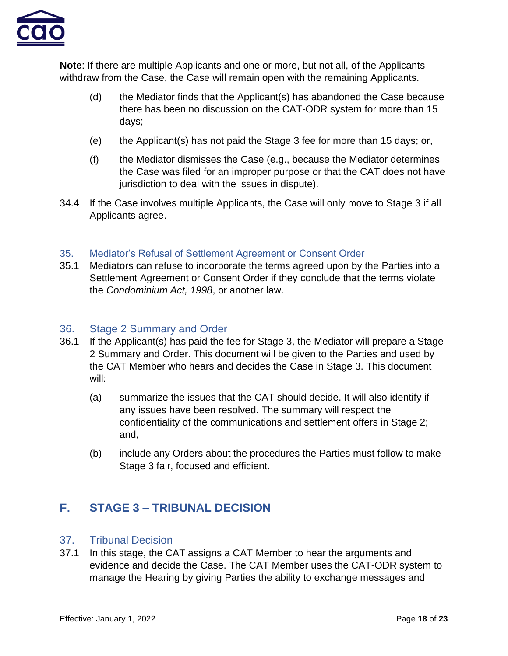

**Note**: If there are multiple Applicants and one or more, but not all, of the Applicants withdraw from the Case, the Case will remain open with the remaining Applicants.

- (d) the Mediator finds that the Applicant(s) has abandoned the Case because there has been no discussion on the CAT-ODR system for more than 15 days;
- (e) the Applicant(s) has not paid the Stage 3 fee for more than 15 days; or,
- (f) the Mediator dismisses the Case (e.g., because the Mediator determines the Case was filed for an improper purpose or that the CAT does not have jurisdiction to deal with the issues in dispute).
- 34.4 If the Case involves multiple Applicants, the Case will only move to Stage 3 if all Applicants agree.

### <span id="page-17-0"></span>35. Mediator's Refusal of Settlement Agreement or Consent Order

35.1 Mediators can refuse to incorporate the terms agreed upon by the Parties into a Settlement Agreement or Consent Order if they conclude that the terms violate the *Condominium Act, 1998*, or another law.

### <span id="page-17-1"></span>36. Stage 2 Summary and Order

- 36.1 If the Applicant(s) has paid the fee for Stage 3, the Mediator will prepare a Stage 2 Summary and Order. This document will be given to the Parties and used by the CAT Member who hears and decides the Case in Stage 3. This document will:
	- (a) summarize the issues that the CAT should decide. It will also identify if any issues have been resolved. The summary will respect the confidentiality of the communications and settlement offers in Stage 2; and,
	- (b) include any Orders about the procedures the Parties must follow to make Stage 3 fair, focused and efficient.

# <span id="page-17-2"></span>**F. STAGE 3 – TRIBUNAL DECISION**

### <span id="page-17-3"></span>37. Tribunal Decision

37.1 In this stage, the CAT assigns a CAT Member to hear the arguments and evidence and decide the Case. The CAT Member uses the CAT-ODR system to manage the Hearing by giving Parties the ability to exchange messages and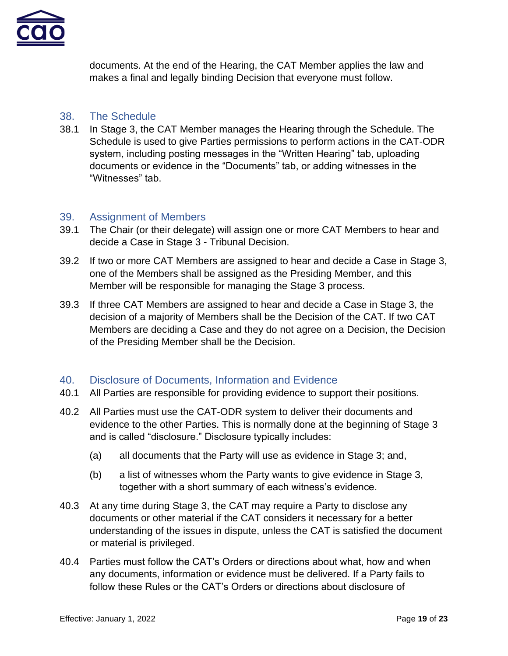

documents. At the end of the Hearing, the CAT Member applies the law and makes a final and legally binding Decision that everyone must follow.

### <span id="page-18-0"></span>38. The Schedule

38.1 In Stage 3, the CAT Member manages the Hearing through the Schedule. The Schedule is used to give Parties permissions to perform actions in the CAT-ODR system, including posting messages in the "Written Hearing" tab, uploading documents or evidence in the "Documents" tab, or adding witnesses in the "Witnesses" tab.

### <span id="page-18-1"></span>39. Assignment of Members

- 39.1 The Chair (or their delegate) will assign one or more CAT Members to hear and decide a Case in Stage 3 - Tribunal Decision.
- 39.2 If two or more CAT Members are assigned to hear and decide a Case in Stage 3, one of the Members shall be assigned as the Presiding Member, and this Member will be responsible for managing the Stage 3 process.
- 39.3 If three CAT Members are assigned to hear and decide a Case in Stage 3, the decision of a majority of Members shall be the Decision of the CAT. If two CAT Members are deciding a Case and they do not agree on a Decision, the Decision of the Presiding Member shall be the Decision.

### <span id="page-18-2"></span>40. Disclosure of Documents, Information and Evidence

- 40.1 All Parties are responsible for providing evidence to support their positions.
- 40.2 All Parties must use the CAT-ODR system to deliver their documents and evidence to the other Parties. This is normally done at the beginning of Stage 3 and is called "disclosure." Disclosure typically includes:
	- (a) all documents that the Party will use as evidence in Stage 3; and,
	- (b) a list of witnesses whom the Party wants to give evidence in Stage 3, together with a short summary of each witness's evidence.
- 40.3 At any time during Stage 3, the CAT may require a Party to disclose any documents or other material if the CAT considers it necessary for a better understanding of the issues in dispute, unless the CAT is satisfied the document or material is privileged.
- 40.4 Parties must follow the CAT's Orders or directions about what, how and when any documents, information or evidence must be delivered. If a Party fails to follow these Rules or the CAT's Orders or directions about disclosure of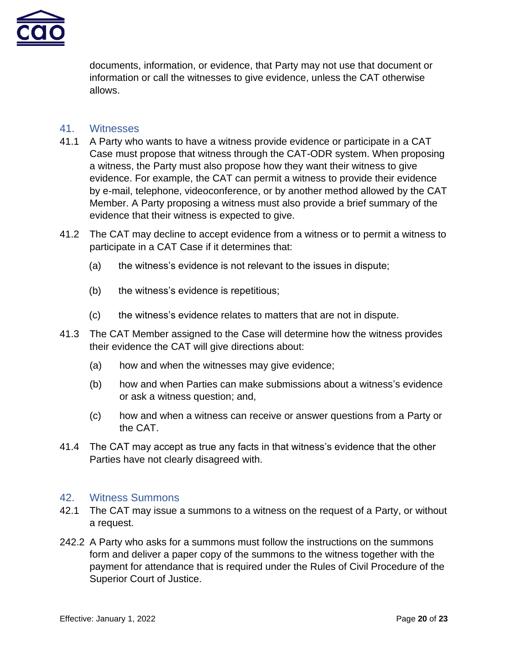

documents, information, or evidence, that Party may not use that document or information or call the witnesses to give evidence, unless the CAT otherwise allows.

### <span id="page-19-0"></span>41. Witnesses

- 41.1 A Party who wants to have a witness provide evidence or participate in a CAT Case must propose that witness through the CAT-ODR system. When proposing a witness, the Party must also propose how they want their witness to give evidence. For example, the CAT can permit a witness to provide their evidence by e-mail, telephone, videoconference, or by another method allowed by the CAT Member. A Party proposing a witness must also provide a brief summary of the evidence that their witness is expected to give.
- 41.2 The CAT may decline to accept evidence from a witness or to permit a witness to participate in a CAT Case if it determines that:
	- (a) the witness's evidence is not relevant to the issues in dispute;
	- (b) the witness's evidence is repetitious;
	- (c) the witness's evidence relates to matters that are not in dispute.
- 41.3 The CAT Member assigned to the Case will determine how the witness provides their evidence the CAT will give directions about:
	- (a) how and when the witnesses may give evidence;
	- (b) how and when Parties can make submissions about a witness's evidence or ask a witness question; and,
	- (c) how and when a witness can receive or answer questions from a Party or the CAT.
- 41.4 The CAT may accept as true any facts in that witness's evidence that the other Parties have not clearly disagreed with.

### <span id="page-19-1"></span>42. Witness Summons

- 42.1 The CAT may issue a summons to a witness on the request of a Party, or without a request.
- 242.2 A Party who asks for a summons must follow the instructions on the summons form and deliver a paper copy of the summons to the witness together with the payment for attendance that is required under the Rules of Civil Procedure of the Superior Court of Justice.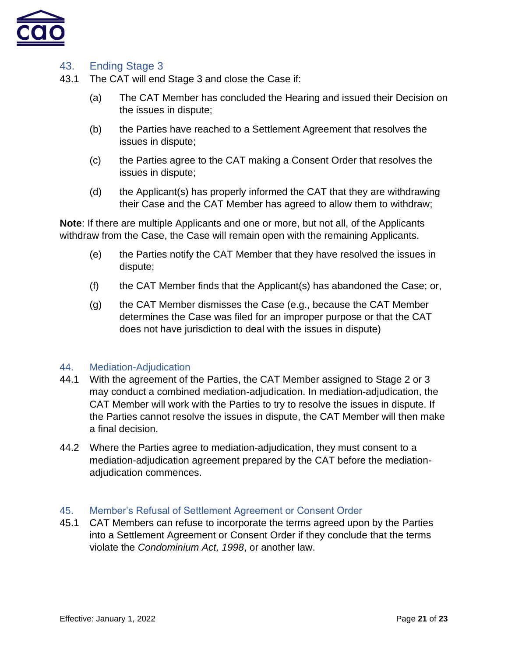

## <span id="page-20-0"></span>43. Ending Stage 3

- 43.1 The CAT will end Stage 3 and close the Case if:
	- (a) The CAT Member has concluded the Hearing and issued their Decision on the issues in dispute;
	- (b) the Parties have reached to a Settlement Agreement that resolves the issues in dispute;
	- (c) the Parties agree to the CAT making a Consent Order that resolves the issues in dispute;
	- (d) the Applicant(s) has properly informed the CAT that they are withdrawing their Case and the CAT Member has agreed to allow them to withdraw;

**Note**: If there are multiple Applicants and one or more, but not all, of the Applicants withdraw from the Case, the Case will remain open with the remaining Applicants.

- (e) the Parties notify the CAT Member that they have resolved the issues in dispute;
- (f) the CAT Member finds that the Applicant(s) has abandoned the Case; or,
- (g) the CAT Member dismisses the Case (e.g., because the CAT Member determines the Case was filed for an improper purpose or that the CAT does not have jurisdiction to deal with the issues in dispute)

### <span id="page-20-1"></span>44. Mediation-Adjudication

- 44.1 With the agreement of the Parties, the CAT Member assigned to Stage 2 or 3 may conduct a combined mediation-adjudication. In mediation-adjudication, the CAT Member will work with the Parties to try to resolve the issues in dispute. If the Parties cannot resolve the issues in dispute, the CAT Member will then make a final decision.
- 44.2 Where the Parties agree to mediation-adjudication, they must consent to a mediation-adjudication agreement prepared by the CAT before the mediationadjudication commences.

### <span id="page-20-2"></span>45. Member's Refusal of Settlement Agreement or Consent Order

45.1 CAT Members can refuse to incorporate the terms agreed upon by the Parties into a Settlement Agreement or Consent Order if they conclude that the terms violate the *Condominium Act, 1998*, or another law.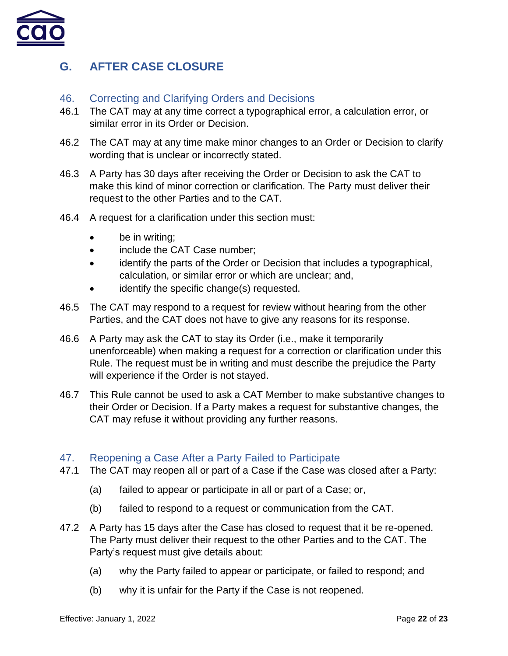

# <span id="page-21-0"></span>**G. AFTER CASE CLOSURE**

### <span id="page-21-1"></span>46. Correcting and Clarifying Orders and Decisions

- 46.1 The CAT may at any time correct a typographical error, a calculation error, or similar error in its Order or Decision.
- 46.2 The CAT may at any time make minor changes to an Order or Decision to clarify wording that is unclear or incorrectly stated.
- 46.3 A Party has 30 days after receiving the Order or Decision to ask the CAT to make this kind of minor correction or clarification. The Party must deliver their request to the other Parties and to the CAT.
- 46.4 A request for a clarification under this section must:
	- be in writing;
	- include the CAT Case number;
	- identify the parts of the Order or Decision that includes a typographical, calculation, or similar error or which are unclear; and,
	- identify the specific change(s) requested.
- 46.5 The CAT may respond to a request for review without hearing from the other Parties, and the CAT does not have to give any reasons for its response.
- 46.6 A Party may ask the CAT to stay its Order (i.e., make it temporarily unenforceable) when making a request for a correction or clarification under this Rule. The request must be in writing and must describe the prejudice the Party will experience if the Order is not stayed.
- 46.7 This Rule cannot be used to ask a CAT Member to make substantive changes to their Order or Decision. If a Party makes a request for substantive changes, the CAT may refuse it without providing any further reasons.

### <span id="page-21-2"></span>47. Reopening a Case After a Party Failed to Participate

- 47.1 The CAT may reopen all or part of a Case if the Case was closed after a Party:
	- (a) failed to appear or participate in all or part of a Case; or,
	- (b) failed to respond to a request or communication from the CAT.
- 47.2 A Party has 15 days after the Case has closed to request that it be re-opened. The Party must deliver their request to the other Parties and to the CAT. The Party's request must give details about:
	- (a) why the Party failed to appear or participate, or failed to respond; and
	- (b) why it is unfair for the Party if the Case is not reopened.